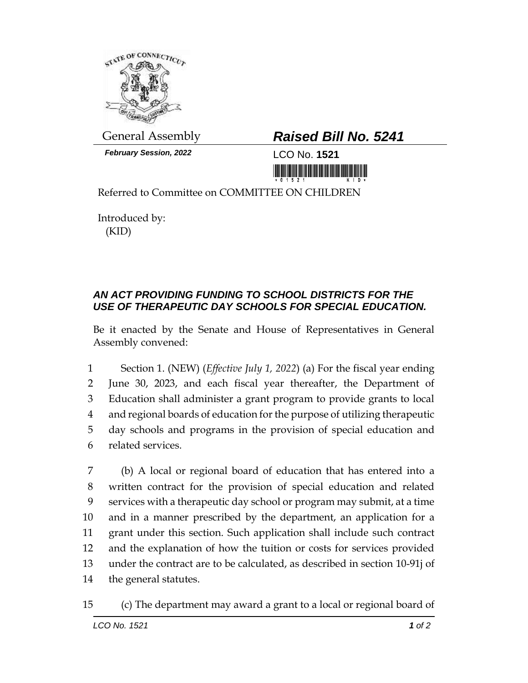

*February Session, 2022* LCO No. **1521**

## General Assembly *Raised Bill No. 5241*

<u> III AN IN AN THA NA BEATH AN DEALAIS NA BEATH AN DEALAIS NA BEATH A</u>

Referred to Committee on COMMITTEE ON CHILDREN

Introduced by: (KID)

## *AN ACT PROVIDING FUNDING TO SCHOOL DISTRICTS FOR THE USE OF THERAPEUTIC DAY SCHOOLS FOR SPECIAL EDUCATION.*

Be it enacted by the Senate and House of Representatives in General Assembly convened:

 Section 1. (NEW) (*Effective July 1, 2022*) (a) For the fiscal year ending June 30, 2023, and each fiscal year thereafter, the Department of Education shall administer a grant program to provide grants to local and regional boards of education for the purpose of utilizing therapeutic day schools and programs in the provision of special education and related services.

 (b) A local or regional board of education that has entered into a written contract for the provision of special education and related services with a therapeutic day school or program may submit, at a time and in a manner prescribed by the department, an application for a grant under this section. Such application shall include such contract and the explanation of how the tuition or costs for services provided under the contract are to be calculated, as described in section 10-91j of the general statutes.

## 15 (c) The department may award a grant to a local or regional board of